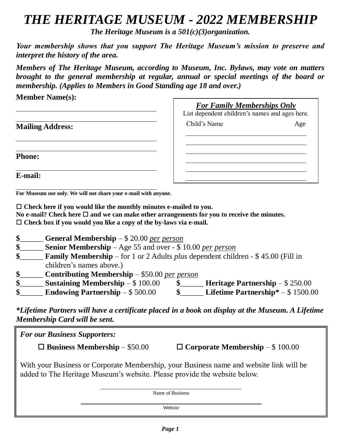## *THE HERITAGE MUSEUM - 2022 MEMBERSHIP*

*The Heritage Museum is a 501(c)(3)organization.*

*Your membership shows that you support The Heritage Museum's mission to preserve and interpret the history of the area.*

*Members of The Heritage Museum, according to Museum, Inc. Bylaws, may vote on matters brought to the general membership at regular, annual or special meetings of the board or membership. (Applies to Members in Good Standing age 18 and over.)*

**Member Name(s):**

|                         | <b>For Family Memberships Only</b><br>List dependent children's names and ages here. |  |
|-------------------------|--------------------------------------------------------------------------------------|--|
| <b>Mailing Address:</b> | Child's Name<br>Age                                                                  |  |
|                         |                                                                                      |  |
| <b>Phone:</b>           |                                                                                      |  |
| E-mail:                 |                                                                                      |  |

**For Museum use only. We will not share your e-mail with anyone.**

 **Check here if you would like the monthly minutes e-mailed to you.** No e-mail? Check here  $\Box$  and we can make other arrangements for you to receive the minutes. **Check box if you would you like a copy of the by-laws via e-mail.**

- **\$**\_\_\_\_\_\_ **General Membership** \$ 20.00 *per person*
- **\$**\_\_\_\_\_\_ **Senior Membership** Age 55 and over \$ 10.00 *per person*
- **\$**\_\_\_\_\_\_ **Family Membership** for 1 or 2 Adults *plus* dependent children *-* \$ 45.00 (Fill in children's names above.)
- **\$**\_\_\_\_\_\_ **Contributing Membership** \$50.00 *per person*
- **\$**\_\_\_\_\_\_ **Sustaining Membership** \$ 100.00 **\$**\_\_\_\_\_\_ **Heritage Partnership** \$ 250.00
- **\$**\_\_\_\_\_\_ **Endowing Partnership** \$ 500.00 **\$**\_\_\_\_\_\_ **Lifetime Partnership\*** \$ 1500.00

*\*Lifetime Partners will have a certificate placed in a book on display at the Museum. A Lifetime Membership Card will be sent.* 

| <b>For our Business Supporters:</b> |                                        |                                                                                                                                                                      |  |
|-------------------------------------|----------------------------------------|----------------------------------------------------------------------------------------------------------------------------------------------------------------------|--|
|                                     | $\Box$ Business Membership $-$ \$50.00 | $\Box$ Corporate Membership $-$ \$ 100.00                                                                                                                            |  |
|                                     |                                        | With your Business or Corporate Membership, your Business name and website link will be<br>added to The Heritage Museum's website. Please provide the website below. |  |
|                                     |                                        | Name of Business                                                                                                                                                     |  |
|                                     |                                        | Website                                                                                                                                                              |  |